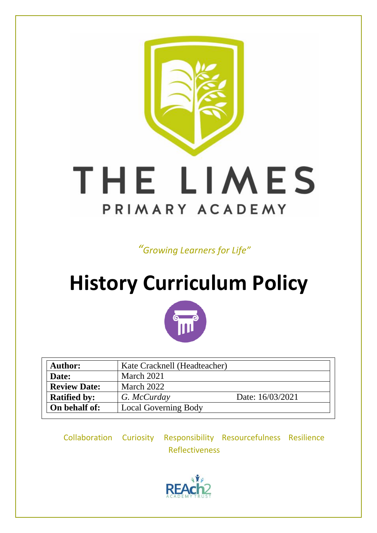

*"Growing Learners for Life"*

# **History Curriculum Policy**



| <b>Author:</b>      | Kate Cracknell (Headteacher) |                  |
|---------------------|------------------------------|------------------|
| Date:               | March 2021                   |                  |
| <b>Review Date:</b> | March 2022                   |                  |
| <b>Ratified by:</b> | G. McCurday                  | Date: 16/03/2021 |
| On behalf of:       | <b>Local Governing Body</b>  |                  |

Collaboration Curiosity Responsibility Resourcefulness Resilience Reflectiveness

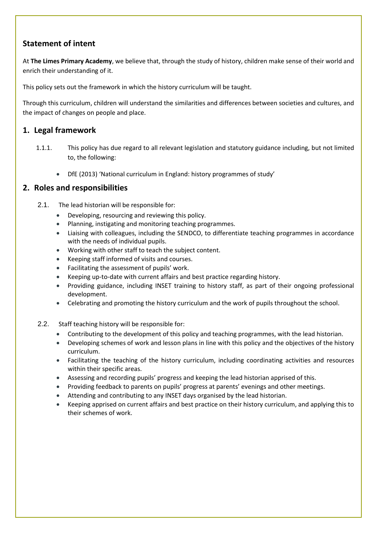# **Statement of intent**

At **The Limes Primary Academy**, we believe that, through the study of history, children make sense of their world and enrich their understanding of it.

This policy sets out the framework in which the history curriculum will be taught.

Through this curriculum, children will understand the similarities and differences between societies and cultures, and the impact of changes on people and place.

## **1. Legal framework**

- 1.1.1. This policy has due regard to all relevant legislation and statutory guidance including, but not limited to, the following:
	- DfE (2013) 'National curriculum in England: history programmes of study'

#### **2. Roles and responsibilities**

- 2.1. The lead historian will be responsible for:
	- Developing, resourcing and reviewing this policy.
	- Planning, instigating and monitoring teaching programmes.
	- Liaising with colleagues, including the SENDCO, to differentiate teaching programmes in accordance with the needs of individual pupils.
	- Working with other staff to teach the subject content.
	- Keeping staff informed of visits and courses.
	- Facilitating the assessment of pupils' work.
	- Keeping up-to-date with current affairs and best practice regarding history.
	- Providing guidance, including INSET training to history staff, as part of their ongoing professional development.
	- Celebrating and promoting the history curriculum and the work of pupils throughout the school.
- 2.2. Staff teaching history will be responsible for:
	- Contributing to the development of this policy and teaching programmes, with the lead historian.
	- Developing schemes of work and lesson plans in line with this policy and the objectives of the history curriculum.
	- Facilitating the teaching of the history curriculum, including coordinating activities and resources within their specific areas.
	- Assessing and recording pupils' progress and keeping the lead historian apprised of this.
	- Providing feedback to parents on pupils' progress at parents' evenings and other meetings.
	- Attending and contributing to any INSET days organised by the lead historian.
	- Keeping apprised on current affairs and best practice on their history curriculum, and applying this to their schemes of work.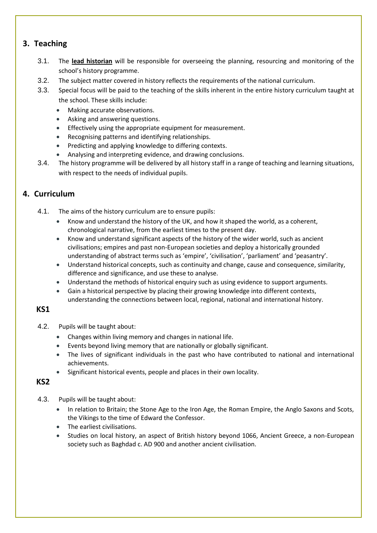# **3. Teaching**

- 3.1. The **lead historian** will be responsible for overseeing the planning, resourcing and monitoring of the school's history programme.
- 3.2. The subject matter covered in history reflects the requirements of the national curriculum.
- 3.3. Special focus will be paid to the teaching of the skills inherent in the entire history curriculum taught at the school. These skills include:
	- Making accurate observations.
	- Asking and answering questions.
	- Effectively using the appropriate equipment for measurement.
	- Recognising patterns and identifying relationships.
	- Predicting and applying knowledge to differing contexts.
	- Analysing and interpreting evidence, and drawing conclusions.
- 3.4. The history programme will be delivered by all history staff in a range of teaching and learning situations, with respect to the needs of individual pupils.

# **4. Curriculum**

4.1. The aims of the history curriculum are to ensure pupils:

- Know and understand the history of the UK, and how it shaped the world, as a coherent, chronological narrative, from the earliest times to the present day.
- Know and understand significant aspects of the history of the wider world, such as ancient civilisations; empires and past non-European societies and deploy a historically grounded understanding of abstract terms such as 'empire', 'civilisation', 'parliament' and 'peasantry'.
- Understand historical concepts, such as continuity and change, cause and consequence, similarity, difference and significance, and use these to analyse.
- Understand the methods of historical enquiry such as using evidence to support arguments.
- Gain a historical perspective by placing their growing knowledge into different contexts, understanding the connections between local, regional, national and international history.

#### **KS1**

- 4.2. Pupils will be taught about:
	- Changes within living memory and changes in national life.
	- Events beyond living memory that are nationally or globally significant.
	- The lives of significant individuals in the past who have contributed to national and international achievements.
	- Significant historical events, people and places in their own locality.

## **KS2**

- 4.3. Pupils will be taught about:
	- In relation to Britain; the Stone Age to the Iron Age, the Roman Empire, the Anglo Saxons and Scots, the Vikings to the time of Edward the Confessor.
	- The earliest civilisations.
	- Studies on local history, an aspect of British history beyond 1066, Ancient Greece, a non-European society such as Baghdad c. AD 900 and another ancient civilisation.